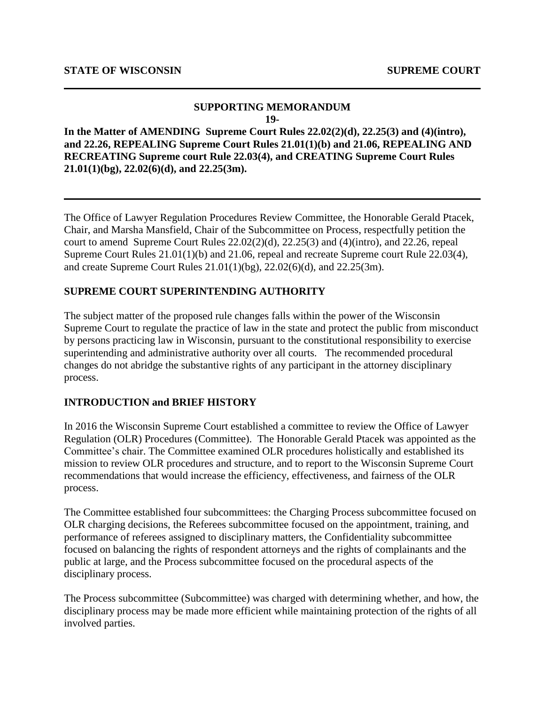#### **SUPPORTING MEMORANDUM 19-**

**In the Matter of AMENDING Supreme Court Rules 22.02(2)(d), 22.25(3) and (4)(intro), and 22.26, REPEALING Supreme Court Rules 21.01(1)(b) and 21.06, REPEALING AND RECREATING Supreme court Rule 22.03(4), and CREATING Supreme Court Rules 21.01(1)(bg), 22.02(6)(d), and 22.25(3m).**

The Office of Lawyer Regulation Procedures Review Committee, the Honorable Gerald Ptacek, Chair, and Marsha Mansfield, Chair of the Subcommittee on Process, respectfully petition the court to amendSupreme Court Rules 22.02(2)(d), 22.25(3) and (4)(intro), and 22.26, repeal Supreme Court Rules 21.01(1)(b) and 21.06, repeal and recreate Supreme court Rule 22.03(4), and create Supreme Court Rules 21.01(1)(bg), 22.02(6)(d), and 22.25(3m).

### **SUPREME COURT SUPERINTENDING AUTHORITY**

The subject matter of the proposed rule changes falls within the power of the Wisconsin Supreme Court to regulate the practice of law in the state and protect the public from misconduct by persons practicing law in Wisconsin, pursuant to the constitutional responsibility to exercise superintending and administrative authority over all courts. The recommended procedural changes do not abridge the substantive rights of any participant in the attorney disciplinary process.

### **INTRODUCTION and BRIEF HISTORY**

In 2016 the Wisconsin Supreme Court established a committee to review the Office of Lawyer Regulation (OLR) Procedures (Committee). The Honorable Gerald Ptacek was appointed as the Committee's chair. The Committee examined OLR procedures holistically and established its mission to review OLR procedures and structure, and to report to the Wisconsin Supreme Court recommendations that would increase the efficiency, effectiveness, and fairness of the OLR process.

The Committee established four subcommittees: the Charging Process subcommittee focused on OLR charging decisions, the Referees subcommittee focused on the appointment, training, and performance of referees assigned to disciplinary matters, the Confidentiality subcommittee focused on balancing the rights of respondent attorneys and the rights of complainants and the public at large, and the Process subcommittee focused on the procedural aspects of the disciplinary process.

The Process subcommittee (Subcommittee) was charged with determining whether, and how, the disciplinary process may be made more efficient while maintaining protection of the rights of all involved parties.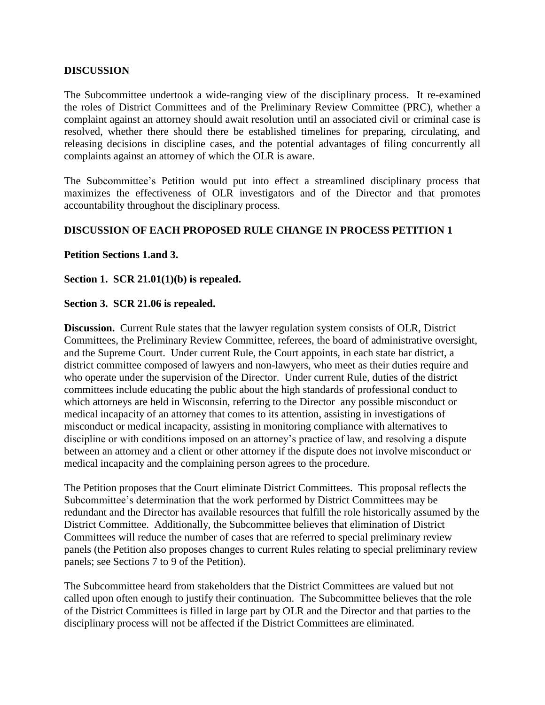### **DISCUSSION**

The Subcommittee undertook a wide-ranging view of the disciplinary process. It re-examined the roles of District Committees and of the Preliminary Review Committee (PRC), whether a complaint against an attorney should await resolution until an associated civil or criminal case is resolved, whether there should there be established timelines for preparing, circulating, and releasing decisions in discipline cases, and the potential advantages of filing concurrently all complaints against an attorney of which the OLR is aware.

The Subcommittee's Petition would put into effect a streamlined disciplinary process that maximizes the effectiveness of OLR investigators and of the Director and that promotes accountability throughout the disciplinary process.

## **DISCUSSION OF EACH PROPOSED RULE CHANGE IN PROCESS PETITION 1**

### **Petition Sections 1.and 3.**

**Section 1. SCR 21.01(1)(b) is repealed.**

### **Section 3. SCR 21.06 is repealed.**

**Discussion.** Current Rule states that the lawyer regulation system consists of OLR, District Committees, the Preliminary Review Committee, referees, the board of administrative oversight, and the Supreme Court. Under current Rule, the Court appoints, in each state bar district, a district committee composed of lawyers and non-lawyers, who meet as their duties require and who operate under the supervision of the Director. Under current Rule, duties of the district committees include educating the public about the high standards of professional conduct to which attorneys are held in Wisconsin, referring to the Director any possible misconduct or medical incapacity of an attorney that comes to its attention, assisting in investigations of misconduct or medical incapacity, assisting in monitoring compliance with alternatives to discipline or with conditions imposed on an attorney's practice of law, and resolving a dispute between an attorney and a client or other attorney if the dispute does not involve misconduct or medical incapacity and the complaining person agrees to the procedure.

The Petition proposes that the Court eliminate District Committees. This proposal reflects the Subcommittee's determination that the work performed by District Committees may be redundant and the Director has available resources that fulfill the role historically assumed by the District Committee. Additionally, the Subcommittee believes that elimination of District Committees will reduce the number of cases that are referred to special preliminary review panels (the Petition also proposes changes to current Rules relating to special preliminary review panels; see Sections 7 to 9 of the Petition).

The Subcommittee heard from stakeholders that the District Committees are valued but not called upon often enough to justify their continuation. The Subcommittee believes that the role of the District Committees is filled in large part by OLR and the Director and that parties to the disciplinary process will not be affected if the District Committees are eliminated.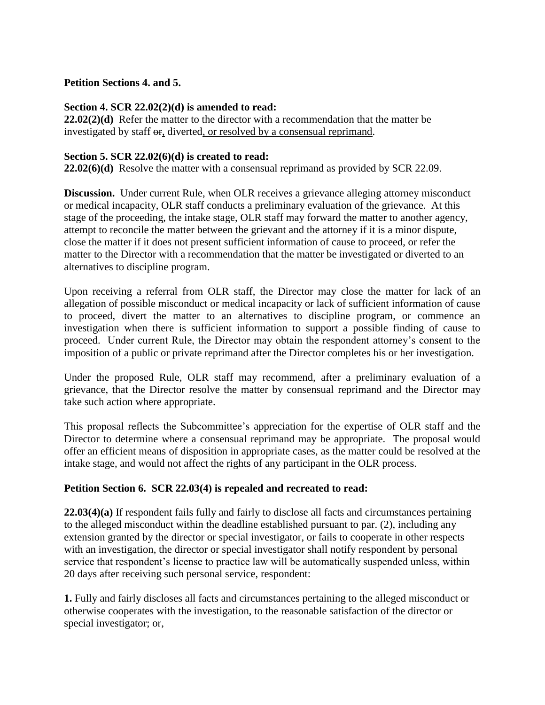### **Petition Sections 4. and 5.**

### **Section 4. SCR 22.02(2)(d) is amended to read:**

**22.02(2)(d)** Refer the matter to the director with a recommendation that the matter be investigated by staff or, diverted, or resolved by a consensual reprimand.

### **Section 5. SCR 22.02(6)(d) is created to read:**

**22.02(6)(d)** Resolve the matter with a consensual reprimand as provided by SCR 22.09.

**Discussion.** Under current Rule, when OLR receives a grievance alleging attorney misconduct or medical incapacity, OLR staff conducts a preliminary evaluation of the grievance. At this stage of the proceeding, the intake stage, OLR staff may forward the matter to another agency, attempt to reconcile the matter between the grievant and the attorney if it is a minor dispute, close the matter if it does not present sufficient information of cause to proceed, or refer the matter to the Director with a recommendation that the matter be investigated or diverted to an alternatives to discipline program.

Upon receiving a referral from OLR staff, the Director may close the matter for lack of an allegation of possible misconduct or medical incapacity or lack of sufficient information of cause to proceed, divert the matter to an alternatives to discipline program, or commence an investigation when there is sufficient information to support a possible finding of cause to proceed. Under current Rule, the Director may obtain the respondent attorney's consent to the imposition of a public or private reprimand after the Director completes his or her investigation.

Under the proposed Rule, OLR staff may recommend, after a preliminary evaluation of a grievance, that the Director resolve the matter by consensual reprimand and the Director may take such action where appropriate.

This proposal reflects the Subcommittee's appreciation for the expertise of OLR staff and the Director to determine where a consensual reprimand may be appropriate. The proposal would offer an efficient means of disposition in appropriate cases, as the matter could be resolved at the intake stage, and would not affect the rights of any participant in the OLR process.

## **Petition Section 6. SCR 22.03(4) is repealed and recreated to read:**

**22.03(4)(a)** If respondent fails fully and fairly to disclose all facts and circumstances pertaining to the alleged misconduct within the deadline established pursuant to par. (2), including any extension granted by the director or special investigator, or fails to cooperate in other respects with an investigation, the director or special investigator shall notify respondent by personal service that respondent's license to practice law will be automatically suspended unless, within 20 days after receiving such personal service, respondent:

**1.** Fully and fairly discloses all facts and circumstances pertaining to the alleged misconduct or otherwise cooperates with the investigation, to the reasonable satisfaction of the director or special investigator; or,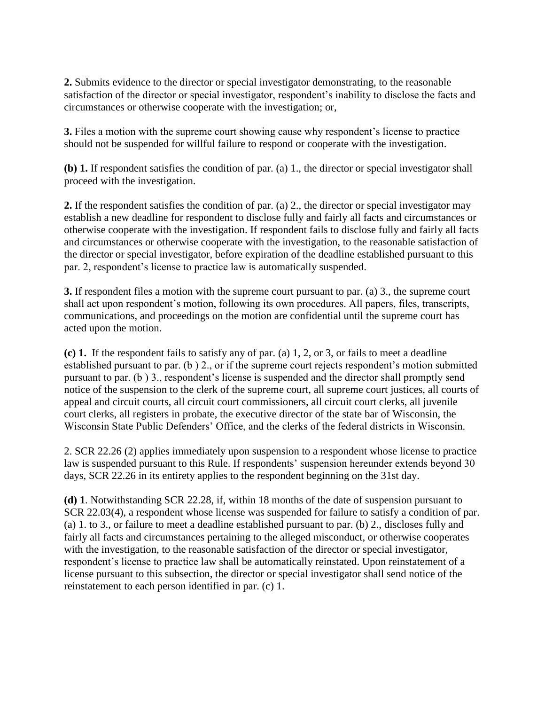**2.** Submits evidence to the director or special investigator demonstrating, to the reasonable satisfaction of the director or special investigator, respondent's inability to disclose the facts and circumstances or otherwise cooperate with the investigation; or,

**3.** Files a motion with the supreme court showing cause why respondent's license to practice should not be suspended for willful failure to respond or cooperate with the investigation.

**(b) 1.** If respondent satisfies the condition of par. (a) 1., the director or special investigator shall proceed with the investigation.

**2.** If the respondent satisfies the condition of par. (a) 2., the director or special investigator may establish a new deadline for respondent to disclose fully and fairly all facts and circumstances or otherwise cooperate with the investigation. If respondent fails to disclose fully and fairly all facts and circumstances or otherwise cooperate with the investigation, to the reasonable satisfaction of the director or special investigator, before expiration of the deadline established pursuant to this par. 2, respondent's license to practice law is automatically suspended.

**3.** If respondent files a motion with the supreme court pursuant to par. (a) 3., the supreme court shall act upon respondent's motion, following its own procedures. All papers, files, transcripts, communications, and proceedings on the motion are confidential until the supreme court has acted upon the motion.

**(c) 1.** If the respondent fails to satisfy any of par. (a) 1, 2, or 3, or fails to meet a deadline established pursuant to par. (b ) 2., or if the supreme court rejects respondent's motion submitted pursuant to par. (b ) 3., respondent's license is suspended and the director shall promptly send notice of the suspension to the clerk of the supreme court, all supreme court justices, all courts of appeal and circuit courts, all circuit court commissioners, all circuit court clerks, all juvenile court clerks, all registers in probate, the executive director of the state bar of Wisconsin, the Wisconsin State Public Defenders' Office, and the clerks of the federal districts in Wisconsin.

2. SCR 22.26 (2) applies immediately upon suspension to a respondent whose license to practice law is suspended pursuant to this Rule. If respondents' suspension hereunder extends beyond 30 days, SCR 22.26 in its entirety applies to the respondent beginning on the 31st day.

**(d) 1**. Notwithstanding SCR 22.28, if, within 18 months of the date of suspension pursuant to SCR 22.03(4), a respondent whose license was suspended for failure to satisfy a condition of par. (a) 1. to 3., or failure to meet a deadline established pursuant to par. (b) 2., discloses fully and fairly all facts and circumstances pertaining to the alleged misconduct, or otherwise cooperates with the investigation, to the reasonable satisfaction of the director or special investigator, respondent's license to practice law shall be automatically reinstated. Upon reinstatement of a license pursuant to this subsection, the director or special investigator shall send notice of the reinstatement to each person identified in par. (c) 1.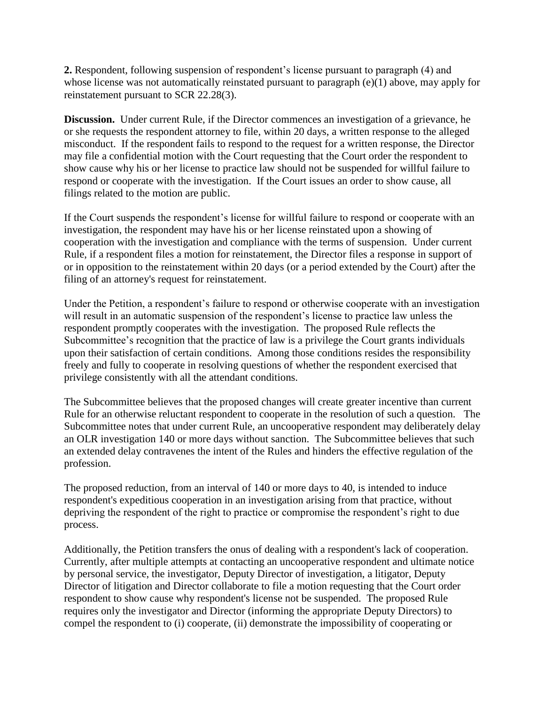**2.** Respondent, following suspension of respondent's license pursuant to paragraph (4) and whose license was not automatically reinstated pursuant to paragraph (e)(1) above, may apply for reinstatement pursuant to SCR 22.28(3).

**Discussion.** Under current Rule, if the Director commences an investigation of a grievance, he or she requests the respondent attorney to file, within 20 days, a written response to the alleged misconduct. If the respondent fails to respond to the request for a written response, the Director may file a confidential motion with the Court requesting that the Court order the respondent to show cause why his or her license to practice law should not be suspended for willful failure to respond or cooperate with the investigation. If the Court issues an order to show cause, all filings related to the motion are public.

If the Court suspends the respondent's license for willful failure to respond or cooperate with an investigation, the respondent may have his or her license reinstated upon a showing of cooperation with the investigation and compliance with the terms of suspension. Under current Rule, if a respondent files a motion for reinstatement, the Director files a response in support of or in opposition to the reinstatement within 20 days (or a period extended by the Court) after the filing of an attorney's request for reinstatement.

Under the Petition, a respondent's failure to respond or otherwise cooperate with an investigation will result in an automatic suspension of the respondent's license to practice law unless the respondent promptly cooperates with the investigation. The proposed Rule reflects the Subcommittee's recognition that the practice of law is a privilege the Court grants individuals upon their satisfaction of certain conditions. Among those conditions resides the responsibility freely and fully to cooperate in resolving questions of whether the respondent exercised that privilege consistently with all the attendant conditions.

The Subcommittee believes that the proposed changes will create greater incentive than current Rule for an otherwise reluctant respondent to cooperate in the resolution of such a question. The Subcommittee notes that under current Rule, an uncooperative respondent may deliberately delay an OLR investigation 140 or more days without sanction. The Subcommittee believes that such an extended delay contravenes the intent of the Rules and hinders the effective regulation of the profession.

The proposed reduction, from an interval of 140 or more days to 40, is intended to induce respondent's expeditious cooperation in an investigation arising from that practice, without depriving the respondent of the right to practice or compromise the respondent's right to due process.

Additionally, the Petition transfers the onus of dealing with a respondent's lack of cooperation. Currently, after multiple attempts at contacting an uncooperative respondent and ultimate notice by personal service, the investigator, Deputy Director of investigation, a litigator, Deputy Director of litigation and Director collaborate to file a motion requesting that the Court order respondent to show cause why respondent's license not be suspended. The proposed Rule requires only the investigator and Director (informing the appropriate Deputy Directors) to compel the respondent to (i) cooperate, (ii) demonstrate the impossibility of cooperating or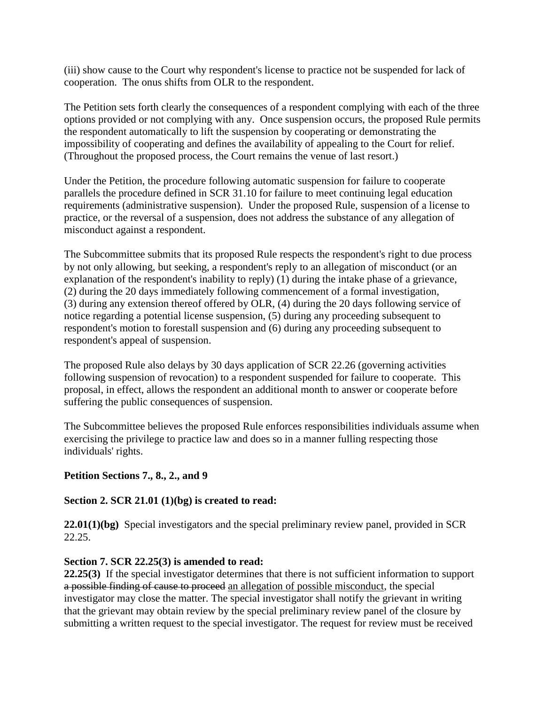(iii) show cause to the Court why respondent's license to practice not be suspended for lack of cooperation. The onus shifts from OLR to the respondent.

The Petition sets forth clearly the consequences of a respondent complying with each of the three options provided or not complying with any. Once suspension occurs, the proposed Rule permits the respondent automatically to lift the suspension by cooperating or demonstrating the impossibility of cooperating and defines the availability of appealing to the Court for relief. (Throughout the proposed process, the Court remains the venue of last resort.)

Under the Petition, the procedure following automatic suspension for failure to cooperate parallels the procedure defined in SCR 31.10 for failure to meet continuing legal education requirements (administrative suspension). Under the proposed Rule, suspension of a license to practice, or the reversal of a suspension, does not address the substance of any allegation of misconduct against a respondent.

The Subcommittee submits that its proposed Rule respects the respondent's right to due process by not only allowing, but seeking, a respondent's reply to an allegation of misconduct (or an explanation of the respondent's inability to reply) (1) during the intake phase of a grievance, (2) during the 20 days immediately following commencement of a formal investigation, (3) during any extension thereof offered by OLR, (4) during the 20 days following service of notice regarding a potential license suspension, (5) during any proceeding subsequent to respondent's motion to forestall suspension and (6) during any proceeding subsequent to respondent's appeal of suspension.

The proposed Rule also delays by 30 days application of SCR 22.26 (governing activities following suspension of revocation) to a respondent suspended for failure to cooperate. This proposal, in effect, allows the respondent an additional month to answer or cooperate before suffering the public consequences of suspension.

The Subcommittee believes the proposed Rule enforces responsibilities individuals assume when exercising the privilege to practice law and does so in a manner fulling respecting those individuals' rights.

# **Petition Sections 7., 8., 2., and 9**

## **Section 2. SCR 21.01 (1)(bg) is created to read:**

**22.01(1)(bg)** Special investigators and the special preliminary review panel, provided in SCR 22.25.

## **Section 7. SCR 22.25(3) is amended to read:**

**22.25(3)** If the special investigator determines that there is not sufficient information to support a possible finding of cause to proceed an allegation of possible misconduct, the special investigator may close the matter. The special investigator shall notify the grievant in writing that the grievant may obtain review by the special preliminary review panel of the closure by submitting a written request to the special investigator. The request for review must be received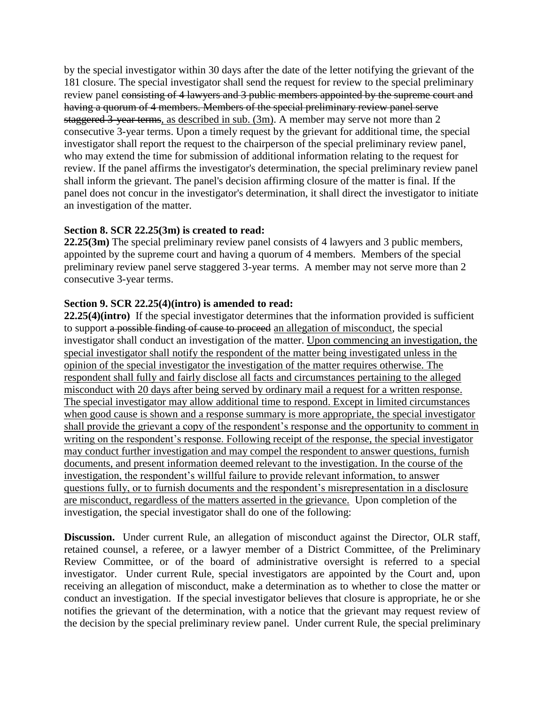by the special investigator within 30 days after the date of the letter notifying the grievant of the 181 closure. The special investigator shall send the request for review to the special preliminary review panel consisting of 4 lawyers and 3 public members appointed by the supreme court and having a quorum of 4 members. Members of the special preliminary review panel serve staggered 3-year terms, as described in sub. (3m). A member may serve not more than 2 consecutive 3-year terms. Upon a timely request by the grievant for additional time, the special investigator shall report the request to the chairperson of the special preliminary review panel, who may extend the time for submission of additional information relating to the request for review. If the panel affirms the investigator's determination, the special preliminary review panel shall inform the grievant. The panel's decision affirming closure of the matter is final. If the panel does not concur in the investigator's determination, it shall direct the investigator to initiate an investigation of the matter.

### **Section 8. SCR 22.25(3m) is created to read:**

**22.25(3m)** The special preliminary review panel consists of 4 lawyers and 3 public members, appointed by the supreme court and having a quorum of 4 members. Members of the special preliminary review panel serve staggered 3-year terms. A member may not serve more than 2 consecutive 3-year terms.

### **Section 9. SCR 22.25(4)(intro) is amended to read:**

**22.25(4)(intro)** If the special investigator determines that the information provided is sufficient to support a possible finding of cause to proceed an allegation of misconduct, the special investigator shall conduct an investigation of the matter. Upon commencing an investigation, the special investigator shall notify the respondent of the matter being investigated unless in the opinion of the special investigator the investigation of the matter requires otherwise. The respondent shall fully and fairly disclose all facts and circumstances pertaining to the alleged misconduct with 20 days after being served by ordinary mail a request for a written response. The special investigator may allow additional time to respond. Except in limited circumstances when good cause is shown and a response summary is more appropriate, the special investigator shall provide the grievant a copy of the respondent's response and the opportunity to comment in writing on the respondent's response. Following receipt of the response, the special investigator may conduct further investigation and may compel the respondent to answer questions, furnish documents, and present information deemed relevant to the investigation. In the course of the investigation, the respondent's willful failure to provide relevant information, to answer questions fully, or to furnish documents and the respondent's misrepresentation in a disclosure are misconduct, regardless of the matters asserted in the grievance. Upon completion of the investigation, the special investigator shall do one of the following:

**Discussion.** Under current Rule, an allegation of misconduct against the Director, OLR staff, retained counsel, a referee, or a lawyer member of a District Committee, of the Preliminary Review Committee, or of the board of administrative oversight is referred to a special investigator. Under current Rule, special investigators are appointed by the Court and, upon receiving an allegation of misconduct, make a determination as to whether to close the matter or conduct an investigation. If the special investigator believes that closure is appropriate, he or she notifies the grievant of the determination, with a notice that the grievant may request review of the decision by the special preliminary review panel. Under current Rule, the special preliminary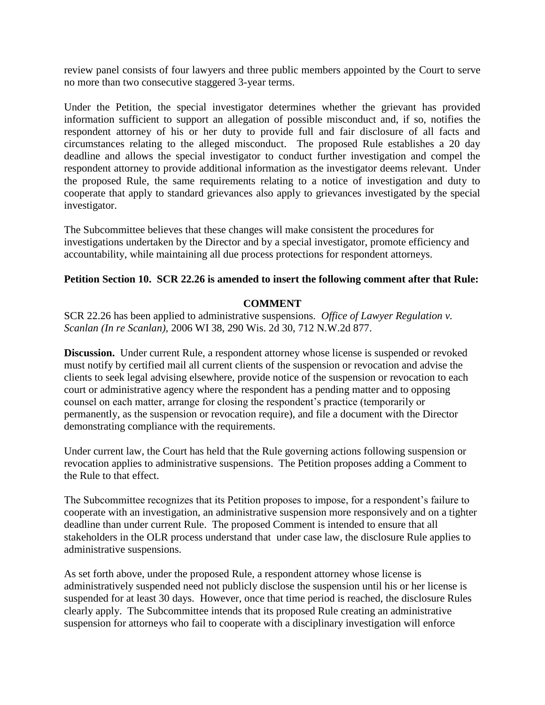review panel consists of four lawyers and three public members appointed by the Court to serve no more than two consecutive staggered 3-year terms.

Under the Petition, the special investigator determines whether the grievant has provided information sufficient to support an allegation of possible misconduct and, if so, notifies the respondent attorney of his or her duty to provide full and fair disclosure of all facts and circumstances relating to the alleged misconduct. The proposed Rule establishes a 20 day deadline and allows the special investigator to conduct further investigation and compel the respondent attorney to provide additional information as the investigator deems relevant. Under the proposed Rule, the same requirements relating to a notice of investigation and duty to cooperate that apply to standard grievances also apply to grievances investigated by the special investigator.

The Subcommittee believes that these changes will make consistent the procedures for investigations undertaken by the Director and by a special investigator, promote efficiency and accountability, while maintaining all due process protections for respondent attorneys.

### **Petition Section 10. SCR 22.26 is amended to insert the following comment after that Rule:**

### **COMMENT**

SCR 22.26 has been applied to administrative suspensions. *Office of Lawyer Regulation v. Scanlan (In re Scanlan),* 2006 WI 38, 290 Wis. 2d 30, 712 N.W.2d 877.

**Discussion.** Under current Rule, a respondent attorney whose license is suspended or revoked must notify by certified mail all current clients of the suspension or revocation and advise the clients to seek legal advising elsewhere, provide notice of the suspension or revocation to each court or administrative agency where the respondent has a pending matter and to opposing counsel on each matter, arrange for closing the respondent's practice (temporarily or permanently, as the suspension or revocation require), and file a document with the Director demonstrating compliance with the requirements.

Under current law, the Court has held that the Rule governing actions following suspension or revocation applies to administrative suspensions. The Petition proposes adding a Comment to the Rule to that effect.

The Subcommittee recognizes that its Petition proposes to impose, for a respondent's failure to cooperate with an investigation, an administrative suspension more responsively and on a tighter deadline than under current Rule. The proposed Comment is intended to ensure that all stakeholders in the OLR process understand that under case law, the disclosure Rule applies to administrative suspensions.

As set forth above, under the proposed Rule, a respondent attorney whose license is administratively suspended need not publicly disclose the suspension until his or her license is suspended for at least 30 days. However, once that time period is reached, the disclosure Rules clearly apply. The Subcommittee intends that its proposed Rule creating an administrative suspension for attorneys who fail to cooperate with a disciplinary investigation will enforce